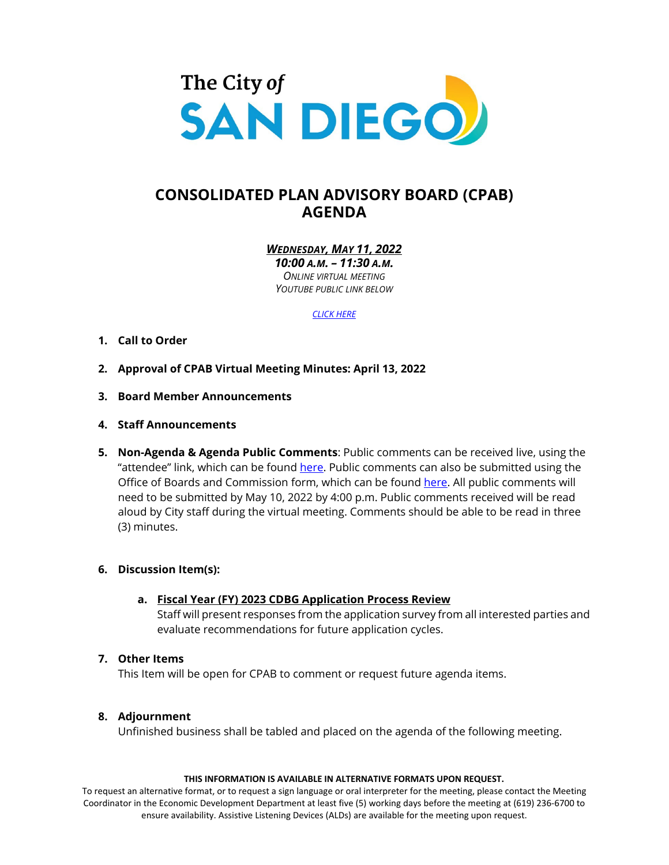

# **CONSOLIDATED PLAN ADVISORY BOARD (CPAB) AGENDA**

*WEDNESDAY, MAY 11, 2022*

*10:00 A.M. – 11:30 A.M. ONLINE VIRTUAL MEETING YOUTUBE PUBLIC LINK BELOW*

*[CLICK HERE](https://www.youtube.com/channel/UC-4gY2k1D1ikzb25QM-O3eg)*

# **1. Call to Order**

- **2. Approval of CPAB Virtual Meeting Minutes: April 13, 2022**
- **3. Board Member Announcements**
- **4. Staff Announcements**
- **5. Non-Agenda & Agenda Public Comments**: Public comments can be received live, using the "attendee" link, which can be foun[d here.](https://sandiego.zoomgov.com/j/1612889234) Public comments can also be submitted using the Office of Boards and Commission form, which can be found [here.](https://www.sandiego.gov/boards-and-commissions/public-comment) All public comments will need to be submitted by May 10, 2022 by 4:00 p.m. Public comments received will be read aloud by City staff during the virtual meeting. Comments should be able to be read in three (3) minutes.

# **6. Discussion Item(s):**

**a. Fiscal Year (FY) 2023 CDBG Application Process Review**

Staff will present responses from the application survey from all interested parties and evaluate recommendations for future application cycles.

# **7. Other Items**

This Item will be open for CPAB to comment or request future agenda items.

# **8. Adjournment**

Unfinished business shall be tabled and placed on the agenda of the following meeting.

#### **THIS INFORMATION IS AVAILABLE IN ALTERNATIVE FORMATS UPON REQUEST.**

To request an alternative format, or to request a sign language or oral interpreter for the meeting, please contact the Meeting Coordinator in the Economic Development Department at least five (5) working days before the meeting at (619) 236-6700 to ensure availability. Assistive Listening Devices (ALDs) are available for the meeting upon request.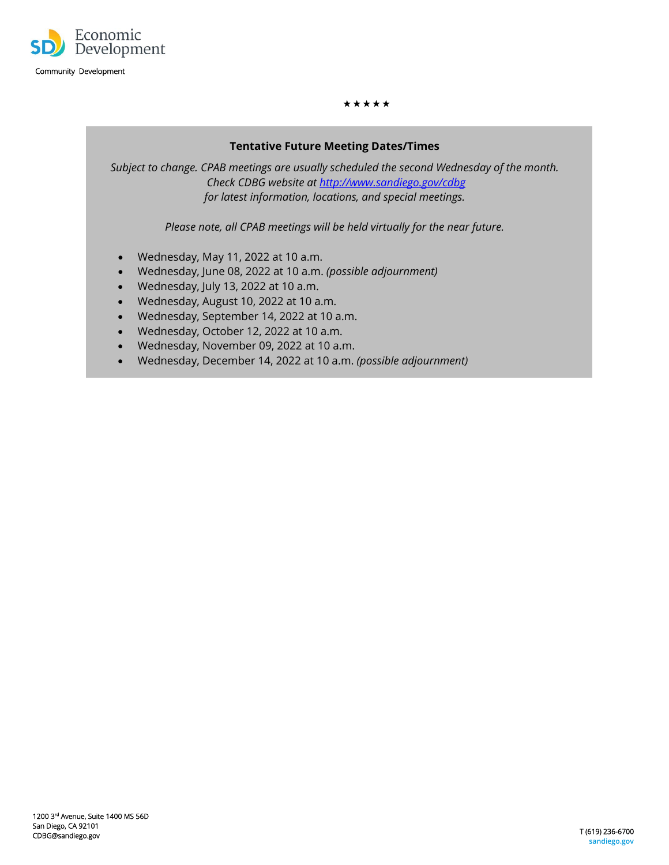

#### \*\*\*\*\*

# **Tentative Future Meeting Dates/Times**

*Subject to change. CPAB meetings are usually scheduled the second Wednesday of the month. Check CDBG website a[t http://www.sandiego.gov/cdbg](http://www.sandiego.gov/cdbgl) for latest information, locations, and special meetings.*

*Please note, all CPAB meetings will be held virtually for the near future.*

- Wednesday, May 11, 2022 at 10 a.m.
- Wednesday, June 08, 2022 at 10 a.m. *(possible adjournment)*
- Wednesday, July 13, 2022 at 10 a.m.
- Wednesday, August 10, 2022 at 10 a.m.
- Wednesday, September 14, 2022 at 10 a.m.
- Wednesday, October 12, 2022 at 10 a.m.
- Wednesday, November 09, 2022 at 10 a.m.
- Wednesday, December 14, 2022 at 10 a.m. *(possible adjournment)*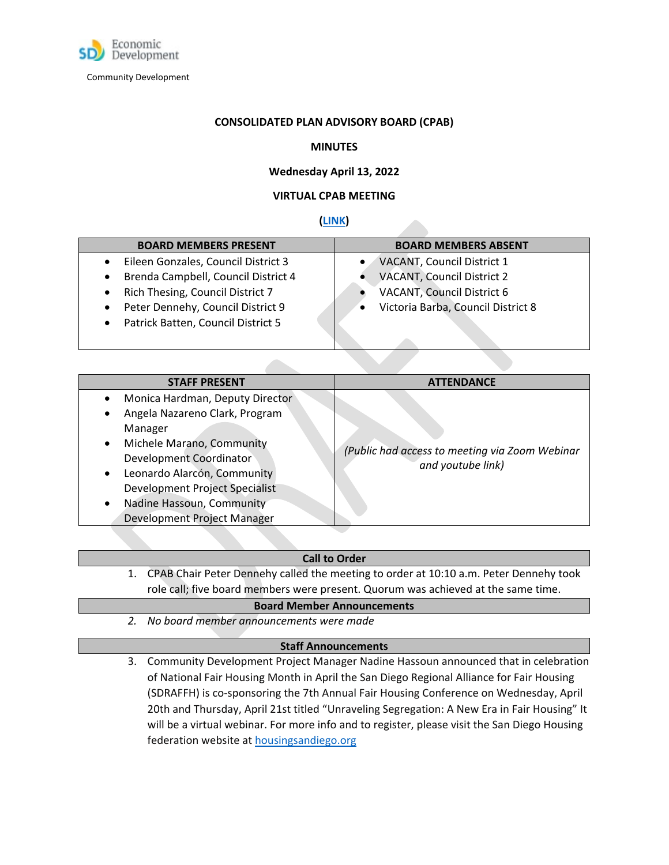

### **CONSOLIDATED PLAN ADVISORY BOARD (CPAB)**

# **MINUTES**

# **Wednesday April 13, 2022**

# **VIRTUAL CPAB MEETING**

# **[\(LINK\)](https://www.youtube.com/watch?v=2maS3IT1iY4)**

| <b>BOARD MEMBERS PRESENT</b>                                                                                                                                                                                                                               | <b>BOARD MEMBERS ABSENT</b>                                                                                                  |
|------------------------------------------------------------------------------------------------------------------------------------------------------------------------------------------------------------------------------------------------------------|------------------------------------------------------------------------------------------------------------------------------|
| Eileen Gonzales, Council District 3<br>$\bullet$<br>Brenda Campbell, Council District 4<br>$\bullet$<br>Rich Thesing, Council District 7<br>$\bullet$<br>Peter Dennehy, Council District 9<br>$\bullet$<br>Patrick Batten, Council District 5<br>$\bullet$ | VACANT, Council District 1<br>VACANT, Council District 2<br>VACANT, Council District 6<br>Victoria Barba, Council District 8 |
|                                                                                                                                                                                                                                                            |                                                                                                                              |

| <b>STAFF PRESENT</b>                                                                                                                                                                                                                                                                                                       | <b>ATTENDANCE</b>                                                   |
|----------------------------------------------------------------------------------------------------------------------------------------------------------------------------------------------------------------------------------------------------------------------------------------------------------------------------|---------------------------------------------------------------------|
| Monica Hardman, Deputy Director<br>$\bullet$<br>Angela Nazareno Clark, Program<br>٠<br>Manager<br>Michele Marano, Community<br>$\bullet$<br>Development Coordinator<br>Leonardo Alarcón, Community<br>$\bullet$<br>Development Project Specialist<br>Nadine Hassoun, Community<br>$\bullet$<br>Development Project Manager | (Public had access to meeting via Zoom Webinar<br>and youtube link) |

# **Call to Order**

1. CPAB Chair Peter Dennehy called the meeting to order at 10:10 a.m. Peter Dennehy took role call; five board members were present. Quorum was achieved at the same time.

### **Board Member Announcements**

*2. No board member announcements were made*

### **Staff Announcements**

3. Community Development Project Manager Nadine Hassoun announced that in celebration of National Fair Housing Month in April the San Diego Regional Alliance for Fair Housing (SDRAFFH) is co-sponsoring the 7th Annual Fair Housing Conference on Wednesday, April 20th and Thursday, April 21st titled "Unraveling Segregation: A New Era in Fair Housing" It will be a virtual webinar. For more info and to register, please visit the San Diego Housing federation website at **housingsandiego.org**